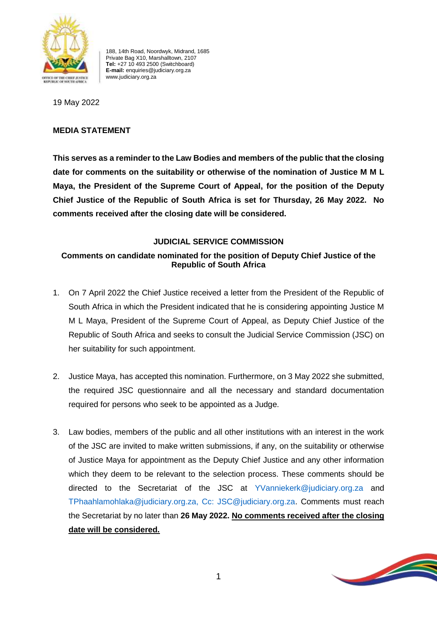

188, 14th Road, Noordwyk, Midrand, 1685 Private Bag X10, Marshalltown, 2107 **Tel:** +27 10 493 2500 (Switchboard) **E-mail:** enquiries@judiciary.org.za www.judiciary.org.za

19 May 2022

## **MEDIA STATEMENT**

**This serves as a reminder to the Law Bodies and members of the public that the closing date for comments on the suitability or otherwise of the nomination of Justice M M L Maya, the President of the Supreme Court of Appeal, for the position of the Deputy Chief Justice of the Republic of South Africa is set for Thursday, 26 May 2022. No comments received after the closing date will be considered.** 

## **JUDICIAL SERVICE COMMISSION**

## **Comments on candidate nominated for the position of Deputy Chief Justice of the Republic of South Africa**

- 1. On 7 April 2022 the Chief Justice received a letter from the President of the Republic of South Africa in which the President indicated that he is considering appointing Justice M M L Maya, President of the Supreme Court of Appeal, as Deputy Chief Justice of the Republic of South Africa and seeks to consult the Judicial Service Commission (JSC) on her suitability for such appointment.
- 2. Justice Maya, has accepted this nomination. Furthermore, on 3 May 2022 she submitted, the required JSC questionnaire and all the necessary and standard documentation required for persons who seek to be appointed as a Judge.
- 3. Law bodies, members of the public and all other institutions with an interest in the work of the JSC are invited to make written submissions, if any, on the suitability or otherwise of Justice Maya for appointment as the Deputy Chief Justice and any other information which they deem to be relevant to the selection process. These comments should be directed to the Secretariat of the JSC at YVanniekerk@judiciary.org.za and TPhaahlamohlaka@judiciary.org.za, Cc: JSC@judiciary.org.za. Comments must reach the Secretariat by no later than **26 May 2022. No comments received after the closing date will be considered.**